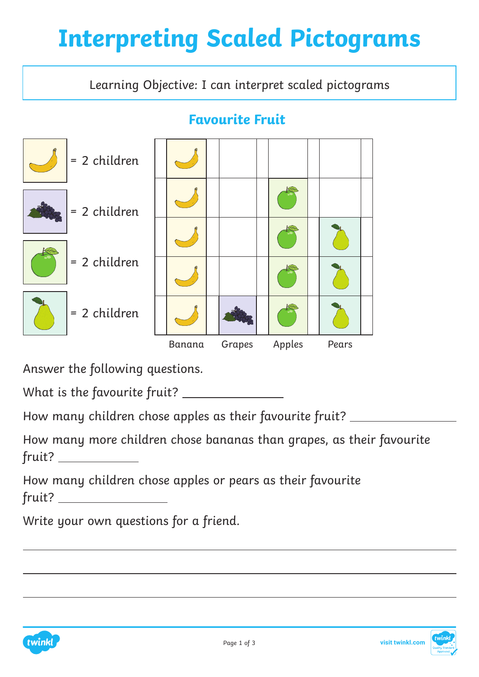# **Interpreting Scaled Pictograms**

Learning Objective: I can interpret scaled pictograms

#### **Favourite Fruit**



Answer the following questions.

What is the favourite fruit?

How many children chose apples as their favourite fruit? \_\_\_\_\_\_\_\_\_\_\_\_\_\_\_\_\_

How many more children chose bananas than grapes, as their favourite fruit?

How many children chose apples or pears as their favourite fruit?

Write your own questions for a friend.



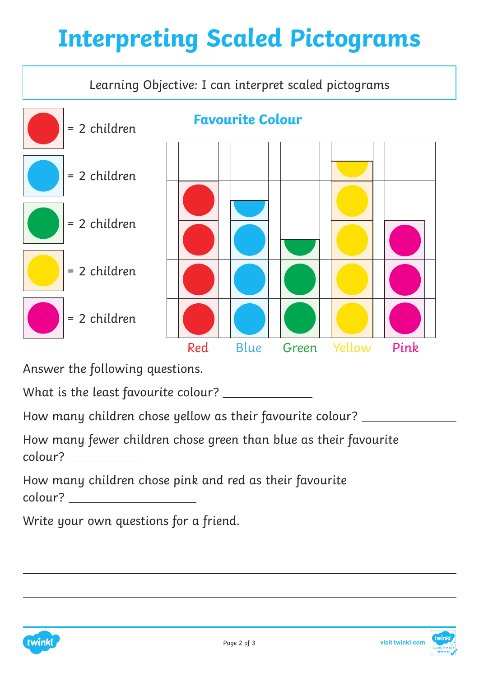# **Interpreting Scaled Pictograms**



Answer the following questions.

What is the least favourite colour?

How many children chose yellow as their favourite colour?

How many fewer children chose green than blue as their favourite colour?

How many children chose pink and red as their favourite colour?

Write your own questions for a friend.



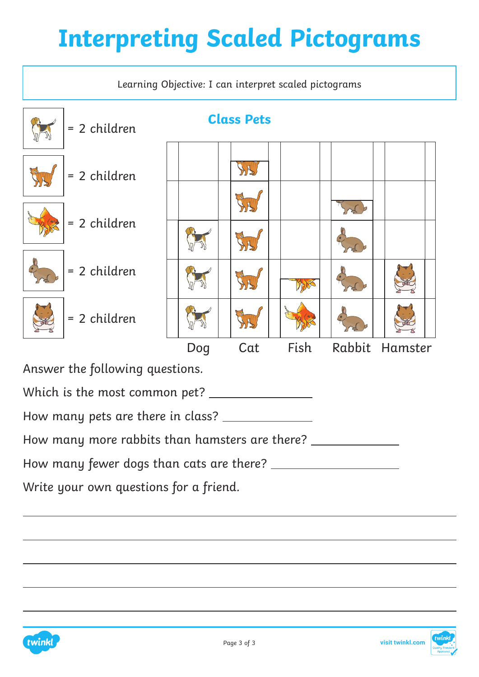# **Interpreting Scaled Pictograms**





twinkl